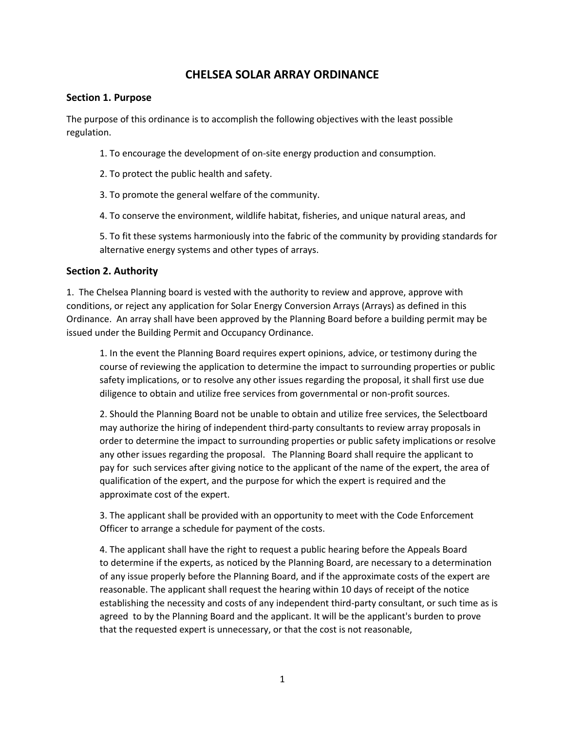# **CHELSEA SOLAR ARRAY ORDINANCE**

#### **Section 1. Purpose**

The purpose of this ordinance is to accomplish the following objectives with the least possible regulation.

- 1. To encourage the development of on-site energy production and consumption.
- 2. To protect the public health and safety.
- 3. To promote the general welfare of the community.
- 4. To conserve the environment, wildlife habitat, fisheries, and unique natural areas, and

5. To fit these systems harmoniously into the fabric of the community by providing standards for alternative energy systems and other types of arrays.

### **Section 2. Authority**

1. The Chelsea Planning board is vested with the authority to review and approve, approve with conditions, or reject any application for Solar Energy Conversion Arrays (Arrays) as defined in this Ordinance. An array shall have been approved by the Planning Board before a building permit may be issued under the Building Permit and Occupancy Ordinance.

1. In the event the Planning Board requires expert opinions, advice, or testimony during the course of reviewing the application to determine the impact to surrounding properties or public safety implications, or to resolve any other issues regarding the proposal, it shall first use due diligence to obtain and utilize free services from governmental or non-profit sources.

2. Should the Planning Board not be unable to obtain and utilize free services, the Selectboard may authorize the hiring of independent third-party consultants to review array proposals in order to determine the impact to surrounding properties or public safety implications or resolve any other issues regarding the proposal. The Planning Board shall require the applicant to pay for such services after giving notice to the applicant of the name of the expert, the area of qualification of the expert, and the purpose for which the expert is required and the approximate cost of the expert.

3. The applicant shall be provided with an opportunity to meet with the Code Enforcement Officer to arrange a schedule for payment of the costs.

4. The applicant shall have the right to request a public hearing before the Appeals Board to determine if the experts, as noticed by the Planning Board, are necessary to a determination of any issue properly before the Planning Board, and if the approximate costs of the expert are reasonable. The applicant shall request the hearing within 10 days of receipt of the notice establishing the necessity and costs of any independent third-party consultant, or such time as is agreed to by the Planning Board and the applicant. It will be the applicant's burden to prove that the requested expert is unnecessary, or that the cost is not reasonable,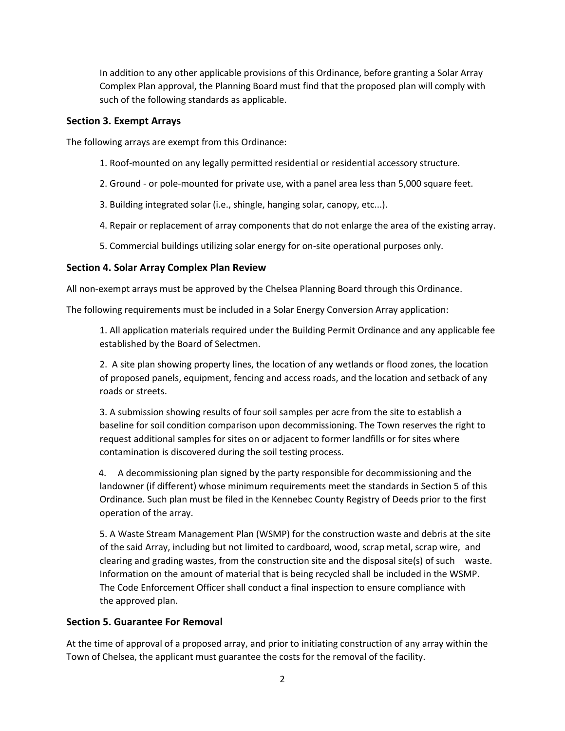In addition to any other applicable provisions of this Ordinance, before granting a Solar Array Complex Plan approval, the Planning Board must find that the proposed plan will comply with such of the following standards as applicable.

### **Section 3. Exempt Arrays**

The following arrays are exempt from this Ordinance:

- 1. Roof-mounted on any legally permitted residential or residential accessory structure.
- 2. Ground or pole-mounted for private use, with a panel area less than 5,000 square feet.
- 3. Building integrated solar (i.e., shingle, hanging solar, canopy, etc...).
- 4. Repair or replacement of array components that do not enlarge the area of the existing array.
- 5. Commercial buildings utilizing solar energy for on-site operational purposes only.

### **Section 4. Solar Array Complex Plan Review**

All non-exempt arrays must be approved by the Chelsea Planning Board through this Ordinance.

The following requirements must be included in a Solar Energy Conversion Array application:

1. All application materials required under the Building Permit Ordinance and any applicable fee established by the Board of Selectmen.

2. A site plan showing property lines, the location of any wetlands or flood zones, the location of proposed panels, equipment, fencing and access roads, and the location and setback of any roads or streets.

3. A submission showing results of four soil samples per acre from the site to establish a baseline for soil condition comparison upon decommissioning. The Town reserves the right to request additional samples for sites on or adjacent to former landfills or for sites where contamination is discovered during the soil testing process.

 4. A decommissioning plan signed by the party responsible for decommissioning and the landowner (if different) whose minimum requirements meet the standards in Section 5 of this Ordinance. Such plan must be filed in the Kennebec County Registry of Deeds prior to the first operation of the array.

5. A Waste Stream Management Plan (WSMP) for the construction waste and debris at the site of the said Array, including but not limited to cardboard, wood, scrap metal, scrap wire, and clearing and grading wastes, from the construction site and the disposal site(s) of such waste. Information on the amount of material that is being recycled shall be included in the WSMP. The Code Enforcement Officer shall conduct a final inspection to ensure compliance with the approved plan.

# **Section 5. Guarantee For Removal**

At the time of approval of a proposed array, and prior to initiating construction of any array within the Town of Chelsea, the applicant must guarantee the costs for the removal of the facility.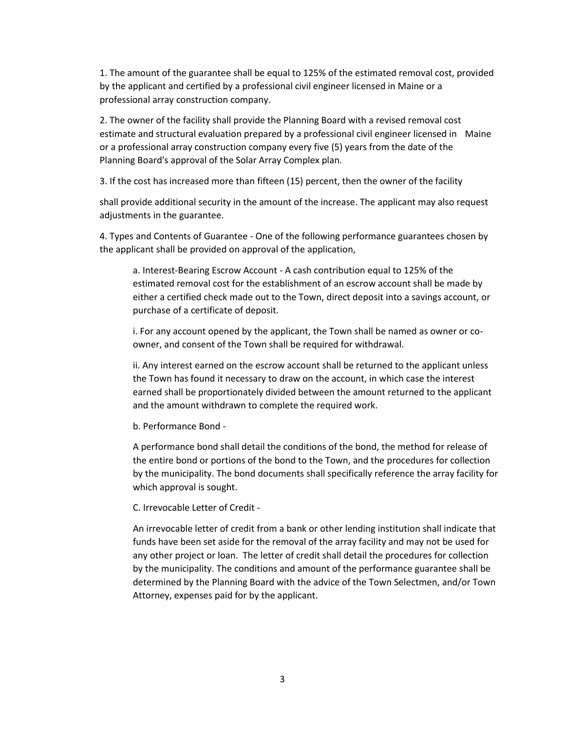1. The amount of the guarantee shall be equal to 125% of the estimated removal cost, provided by the applicant and certified by a professional civil engineer licensed in Maine or a professional array construction company.

2. The owner of the facility shall provide the Planning Board with a revised removal cost estimate and structural evaluation prepared by a professional civil engineer licensed in Maine or a professional array construction company every five (5) years from the date of the Planning Board's approval of the Solar Array Complex plan.

3. If the cost has increased more than fifteen (15) percent, then the owner of the facility

shall provide additional security in the amount of the increase. The applicant may also request adjustments in the guarantee.

4. Types and Contents of Guarantee - One of the following performance guarantees chosen by the applicant shall be provided on approval of the application,

a. Interest-Bearing Escrow Account - A cash contribution equal to 125% of the estimated removal cost for the establishment of an escrow account shall be made by either a certified check made out to the Town, direct deposit into a savings account, or purchase of a certificate of deposit.

i. For any account opened by the applicant, the Town shall be named as owner or coowner, and consent of the Town shall be required for withdrawal.

ii. Any interest earned on the escrow account shall be returned to the applicant unless the Town has found it necessary to draw on the account, in which case the interest earned shall be proportionately divided between the amount returned to the applicant and the amount withdrawn to complete the required work.

b. Performance Bond -

A performance bond shall detail the conditions of the bond, the method for release of the entire bond or portions of the bond to the Town, and the procedures for collection by the municipality. The bond documents shall specifically reference the array facility for which approval is sought.

C. Irrevocable Letter of Credit -

An irrevocable letter of credit from a bank or other lending institution shall indicate that funds have been set aside for the removal of the array facility and may not be used for any other project or loan. The letter of credit shall detail the procedures for collection by the municipality. The conditions and amount of the performance guarantee shall be determined by the Planning Board with the advice of the Town Selectmen, and/or Town Attorney, expenses paid for by the applicant.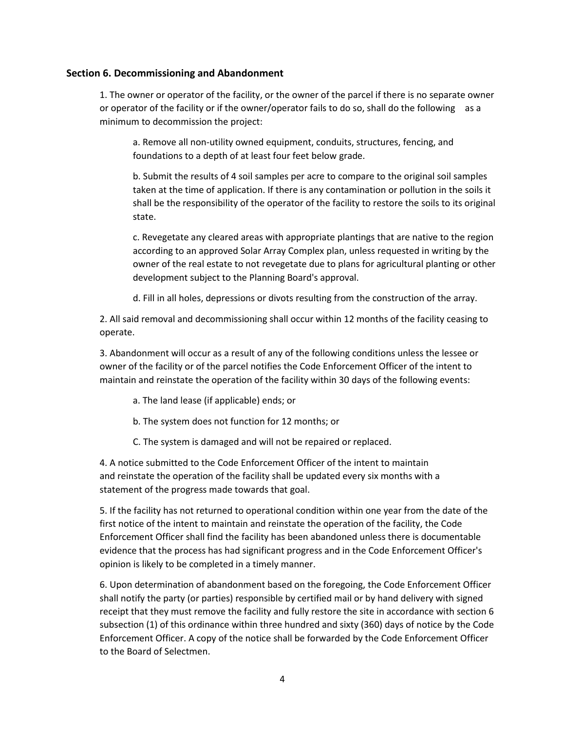#### **Section 6. Decommissioning and Abandonment**

1. The owner or operator of the facility, or the owner of the parcel if there is no separate owner or operator of the facility or if the owner/operator fails to do so, shall do the following as a minimum to decommission the project:

a. Remove all non-utility owned equipment, conduits, structures, fencing, and foundations to a depth of at least four feet below grade.

b. Submit the results of 4 soil samples per acre to compare to the original soil samples taken at the time of application. If there is any contamination or pollution in the soils it shall be the responsibility of the operator of the facility to restore the soils to its original state.

c. Revegetate any cleared areas with appropriate plantings that are native to the region according to an approved Solar Array Complex plan, unless requested in writing by the owner of the real estate to not revegetate due to plans for agricultural planting or other development subject to the Planning Board's approval.

d. Fill in all holes, depressions or divots resulting from the construction of the array.

2. All said removal and decommissioning shall occur within 12 months of the facility ceasing to operate.

3. Abandonment will occur as a result of any of the following conditions unless the lessee or owner of the facility or of the parcel notifies the Code Enforcement Officer of the intent to maintain and reinstate the operation of the facility within 30 days of the following events:

- a. The land lease (if applicable) ends; or
- b. The system does not function for 12 months; or
- C. The system is damaged and will not be repaired or replaced.

4. A notice submitted to the Code Enforcement Officer of the intent to maintain and reinstate the operation of the facility shall be updated every six months with a statement of the progress made towards that goal.

5. If the facility has not returned to operational condition within one year from the date of the first notice of the intent to maintain and reinstate the operation of the facility, the Code Enforcement Officer shall find the facility has been abandoned unless there is documentable evidence that the process has had significant progress and in the Code Enforcement Officer's opinion is likely to be completed in a timely manner.

6. Upon determination of abandonment based on the foregoing, the Code Enforcement Officer shall notify the party (or parties) responsible by certified mail or by hand delivery with signed receipt that they must remove the facility and fully restore the site in accordance with section 6 subsection (1) of this ordinance within three hundred and sixty (360) days of notice by the Code Enforcement Officer. A copy of the notice shall be forwarded by the Code Enforcement Officer to the Board of Selectmen.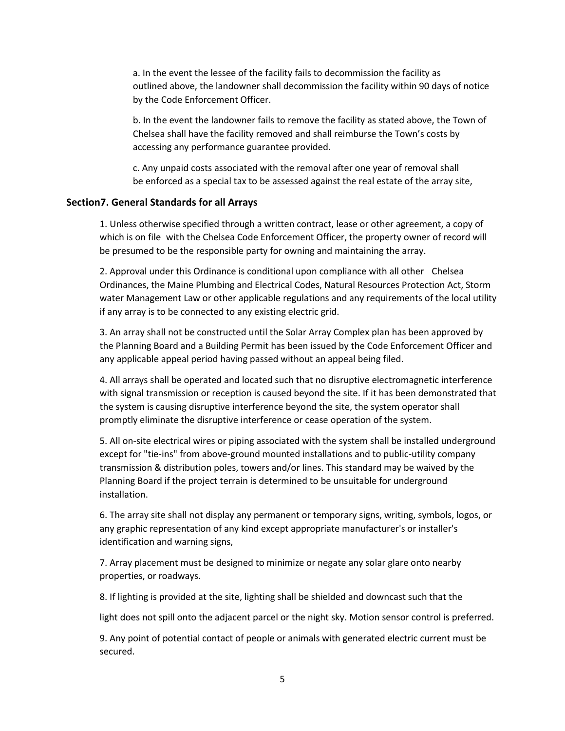a. In the event the lessee of the facility fails to decommission the facility as outlined above, the landowner shall decommission the facility within 90 days of notice by the Code Enforcement Officer.

b. In the event the landowner fails to remove the facility as stated above, the Town of Chelsea shall have the facility removed and shall reimburse the Town's costs by accessing any performance guarantee provided.

c. Any unpaid costs associated with the removal after one year of removal shall be enforced as a special tax to be assessed against the real estate of the array site,

#### **Section7. General Standards for all Arrays**

1. Unless otherwise specified through a written contract, lease or other agreement, a copy of which is on file with the Chelsea Code Enforcement Officer, the property owner of record will be presumed to be the responsible party for owning and maintaining the array.

2. Approval under this Ordinance is conditional upon compliance with all other Chelsea Ordinances, the Maine Plumbing and Electrical Codes, Natural Resources Protection Act, Storm water Management Law or other applicable regulations and any requirements of the local utility if any array is to be connected to any existing electric grid.

3. An array shall not be constructed until the Solar Array Complex plan has been approved by the Planning Board and a Building Permit has been issued by the Code Enforcement Officer and any applicable appeal period having passed without an appeal being filed.

4. All arrays shall be operated and located such that no disruptive electromagnetic interference with signal transmission or reception is caused beyond the site. If it has been demonstrated that the system is causing disruptive interference beyond the site, the system operator shall promptly eliminate the disruptive interference or cease operation of the system.

5. All on-site electrical wires or piping associated with the system shall be installed underground except for "tie-ins" from above-ground mounted installations and to public-utility company transmission & distribution poles, towers and/or lines. This standard may be waived by the Planning Board if the project terrain is determined to be unsuitable for underground installation.

6. The array site shall not display any permanent or temporary signs, writing, symbols, logos, or any graphic representation of any kind except appropriate manufacturer's or installer's identification and warning signs,

7. Array placement must be designed to minimize or negate any solar glare onto nearby properties, or roadways.

8. If lighting is provided at the site, lighting shall be shielded and downcast such that the

light does not spill onto the adjacent parcel or the night sky. Motion sensor control is preferred.

9. Any point of potential contact of people or animals with generated electric current must be secured.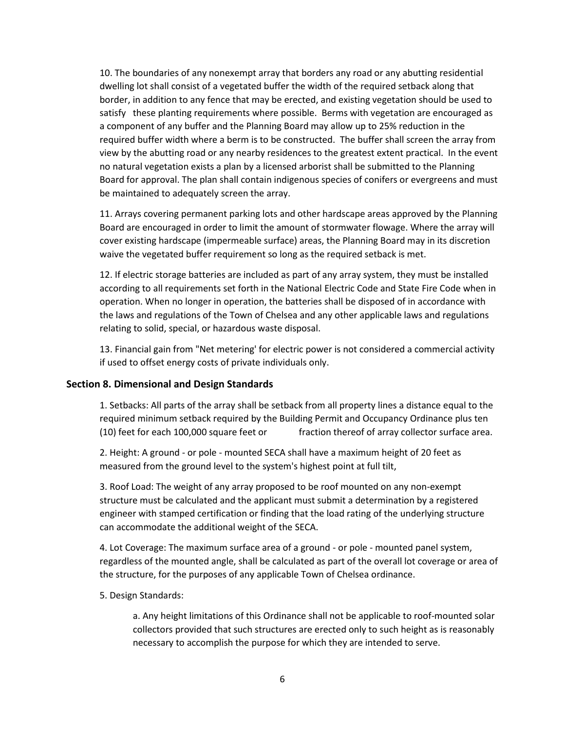10. The boundaries of any nonexempt array that borders any road or any abutting residential dwelling lot shall consist of a vegetated buffer the width of the required setback along that border, in addition to any fence that may be erected, and existing vegetation should be used to satisfy these planting requirements where possible. Berms with vegetation are encouraged as a component of any buffer and the Planning Board may allow up to 25% reduction in the required buffer width where a berm is to be constructed. The buffer shall screen the array from view by the abutting road or any nearby residences to the greatest extent practical. In the event no natural vegetation exists a plan by a licensed arborist shall be submitted to the Planning Board for approval. The plan shall contain indigenous species of conifers or evergreens and must be maintained to adequately screen the array.

11. Arrays covering permanent parking lots and other hardscape areas approved by the Planning Board are encouraged in order to limit the amount of stormwater flowage. Where the array will cover existing hardscape (impermeable surface) areas, the Planning Board may in its discretion waive the vegetated buffer requirement so long as the required setback is met.

12. If electric storage batteries are included as part of any array system, they must be installed according to all requirements set forth in the National Electric Code and State Fire Code when in operation. When no longer in operation, the batteries shall be disposed of in accordance with the laws and regulations of the Town of Chelsea and any other applicable laws and regulations relating to solid, special, or hazardous waste disposal.

13. Financial gain from "Net metering' for electric power is not considered a commercial activity if used to offset energy costs of private individuals only.

#### **Section 8. Dimensional and Design Standards**

1. Setbacks: All parts of the array shall be setback from all property lines a distance equal to the required minimum setback required by the Building Permit and Occupancy Ordinance plus ten (10) feet for each 100,000 square feet or fraction thereof of array collector surface area.

2. Height: A ground - or pole - mounted SECA shall have a maximum height of 20 feet as measured from the ground level to the system's highest point at full tilt,

3. Roof Load: The weight of any array proposed to be roof mounted on any non-exempt structure must be calculated and the applicant must submit a determination by a registered engineer with stamped certification or finding that the load rating of the underlying structure can accommodate the additional weight of the SECA.

4. Lot Coverage: The maximum surface area of a ground - or pole - mounted panel system, regardless of the mounted angle, shall be calculated as part of the overall lot coverage or area of the structure, for the purposes of any applicable Town of Chelsea ordinance.

5. Design Standards:

a. Any height limitations of this Ordinance shall not be applicable to roof-mounted solar collectors provided that such structures are erected only to such height as is reasonably necessary to accomplish the purpose for which they are intended to serve.